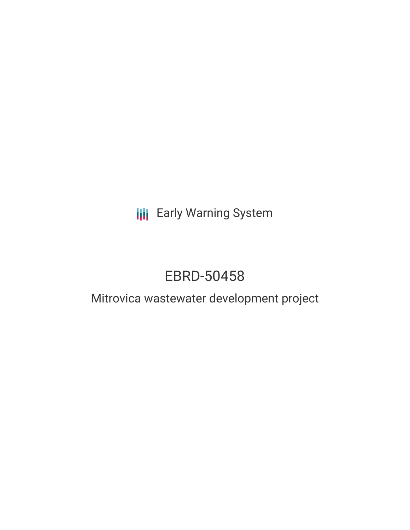# **III** Early Warning System

# EBRD-50458

### Mitrovica wastewater development project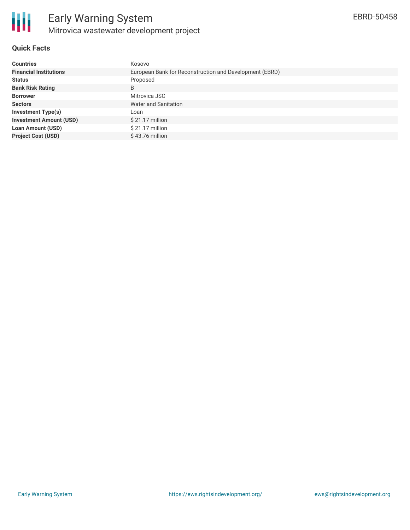

#### **Quick Facts**

| <b>Countries</b>               | Kosovo                                                  |
|--------------------------------|---------------------------------------------------------|
| <b>Financial Institutions</b>  | European Bank for Reconstruction and Development (EBRD) |
| <b>Status</b>                  | Proposed                                                |
| <b>Bank Risk Rating</b>        | B                                                       |
| <b>Borrower</b>                | Mitrovica JSC                                           |
| <b>Sectors</b>                 | Water and Sanitation                                    |
| <b>Investment Type(s)</b>      | Loan                                                    |
| <b>Investment Amount (USD)</b> | $$21.17$ million                                        |
| <b>Loan Amount (USD)</b>       | \$21.17 million                                         |
| <b>Project Cost (USD)</b>      | $$43.76$ million                                        |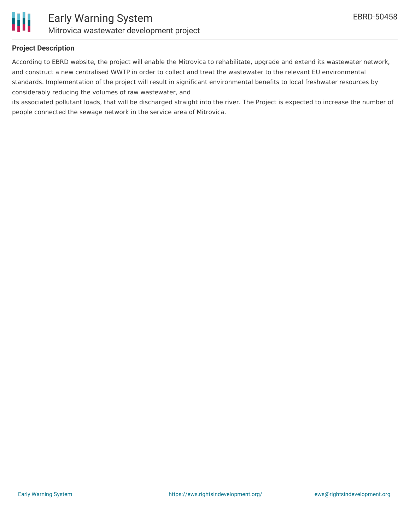

#### **Project Description**

According to EBRD website, the project will enable the Mitrovica to rehabilitate, upgrade and extend its wastewater network, and construct a new centralised WWTP in order to collect and treat the wastewater to the relevant EU environmental standards. Implementation of the project will result in significant environmental benefits to local freshwater resources by considerably reducing the volumes of raw wastewater, and

its associated pollutant loads, that will be discharged straight into the river. The Project is expected to increase the number of people connected the sewage network in the service area of Mitrovica.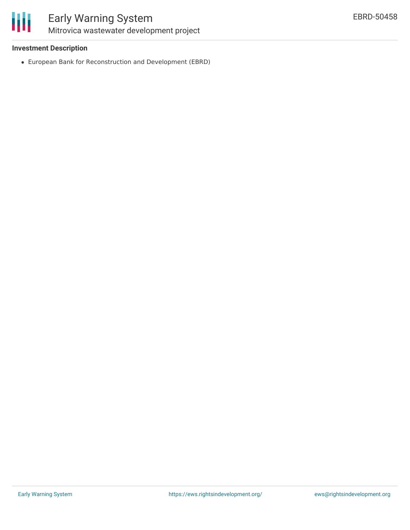

### Early Warning System Mitrovica wastewater development project

#### **Investment Description**

European Bank for Reconstruction and Development (EBRD)